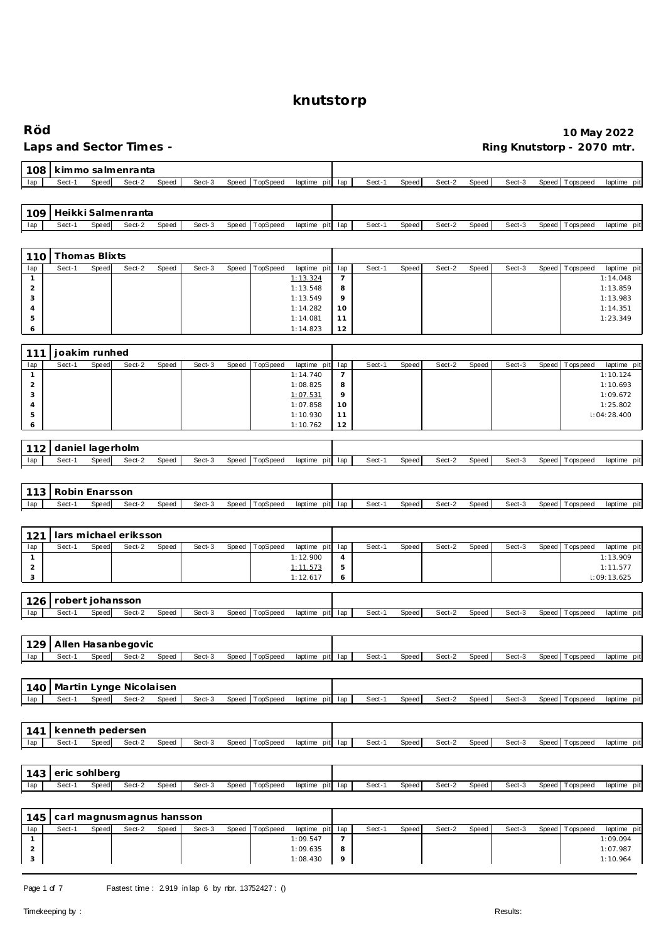| Röd                                 |                         |       |                                   |       |        |                   |                                                              |        |       |        |       |        |                            | 10 May 2022                      |
|-------------------------------------|-------------------------|-------|-----------------------------------|-------|--------|-------------------|--------------------------------------------------------------|--------|-------|--------|-------|--------|----------------------------|----------------------------------|
|                                     |                         |       | Laps and Sector Times -           |       |        |                   |                                                              |        |       |        |       |        | Ring Knutstorp - 2070 mtr. |                                  |
| 108                                 |                         |       | kimmo salmenranta                 |       |        |                   |                                                              |        |       |        |       |        |                            |                                  |
| lap                                 | Sect-1                  | Speed | Sect-2                            | Speed | Sect-3 | TopSpeed<br>Speed | laptime pit lap                                              | Sect-1 | Speed | Sect-2 | Speed | Sect-3 | Speed<br>Tops peed         | laptime pit                      |
| 109                                 |                         |       | Heikki Salmenranta                |       |        |                   |                                                              |        |       |        |       |        |                            |                                  |
| lap                                 | Sect-1                  | Speed | Sect-2                            | Speed | Sect-3 | Speed<br>TopSpeed | laptime pit<br>lap                                           | Sect-1 | Speed | Sect-2 | Speed | Sect-3 | Speed<br>T ops pee d       | laptime pit                      |
|                                     |                         |       |                                   |       |        |                   |                                                              |        |       |        |       |        |                            |                                  |
| 110<br>lap                          | Thomas Blixts<br>Sect-1 | Speed | Sect-2                            | Speed | Sect-3 | Speed<br>TopSpeed | laptime pit<br>lap                                           | Sect-1 | Speed | Sect-2 | Speed | Sect-3 | Speed<br>Tops pee d        | laptime pit                      |
| $\mathbf{1}$                        |                         |       |                                   |       |        |                   | 1:13.324<br>$\overline{7}$                                   |        |       |        |       |        |                            | 1:14.048                         |
| $\overline{c}$<br>3                 |                         |       |                                   |       |        |                   | 8<br>1:13.548<br>9<br>1:13.549                               |        |       |        |       |        |                            | 1:13.859<br>1:13.983             |
| $\overline{4}$                      |                         |       |                                   |       |        |                   | 1:14.282<br>10                                               |        |       |        |       |        |                            | 1:14.351                         |
| 5<br>6                              |                         |       |                                   |       |        |                   | 1:14.081<br>11<br>12<br>1:14.823                             |        |       |        |       |        |                            | 1:23.349                         |
|                                     |                         |       |                                   |       |        |                   |                                                              |        |       |        |       |        |                            |                                  |
| 111<br>lap                          | joakim runhed<br>Sect-1 | Speed | Sect-2                            | Speed | Sect-3 | Speed<br>TopSpeed | laptime pit<br>lap                                           | Sect-1 | Speed | Sect-2 | Speed | Sect-3 | Speed<br>T ops pee d       | laptime pit                      |
| $\mathbf{1}$                        |                         |       |                                   |       |        |                   | $\overline{7}$<br>1:14.740                                   |        |       |        |       |        |                            | 1:10.124                         |
| $\overline{2}$<br>3                 |                         |       |                                   |       |        |                   | 1:08.825<br>8<br>9<br>1:07.531                               |        |       |        |       |        |                            | 1:10.693<br>1:09.672             |
| 4<br>5                              |                         |       |                                   |       |        |                   | 1:07.858<br>10<br>1:10.930<br>11                             |        |       |        |       |        |                            | 1:25.802<br>1:04:28.400          |
| 6                                   |                         |       |                                   |       |        |                   | 1:10.762<br>12                                               |        |       |        |       |        |                            |                                  |
| 112                                 | daniel lagerholm        |       |                                   |       |        |                   |                                                              |        |       |        |       |        |                            |                                  |
| lap                                 | Sect-1                  | Speed | Sect-2                            | Speed | Sect-3 | Speed<br>TopSpeed | laptime pit<br>lap                                           | Sect-1 | Speed | Sect-2 | Speed | Sect-3 | Speed<br>Tops peed         | laptime pit                      |
|                                     |                         |       |                                   |       |        |                   |                                                              |        |       |        |       |        |                            |                                  |
| 113                                 | Robin Enarsson          |       |                                   |       |        |                   |                                                              |        |       |        |       |        |                            |                                  |
|                                     |                         |       |                                   |       |        |                   |                                                              |        |       |        |       |        |                            |                                  |
| lap                                 | Sect-1                  | Speed | Sect-2                            | Speed | Sect-3 | TopSpeed<br>Speed | laptime pit lap                                              | Sect-1 | Speed | Sect-2 | Speed | Sect-3 | Speed<br>Tops pee d        | laptime pit                      |
|                                     |                         |       |                                   |       |        |                   |                                                              |        |       |        |       |        |                            |                                  |
| 121<br>lap                          | Sect-1                  | Speed | lars michael eriksson<br>Sect-2   | Speed | Sect-3 | Speed<br>TopSpeed | laptime pit<br>lap                                           | Sect-1 | Speed | Sect-2 | Speed | Sect-3 | Speed<br>Tops pee d        | laptime pit                      |
| $\mathbf{1}$                        |                         |       |                                   |       |        |                   | 1:12.900<br>4                                                |        |       |        |       |        |                            | 1:13.909                         |
| $\overline{2}$<br>3                 |                         |       |                                   |       |        |                   | 5<br>1:11.573<br>1:12.617<br>6                               |        |       |        |       |        |                            | 1:11.577<br>1:09:13.625          |
|                                     |                         |       |                                   |       |        |                   |                                                              |        |       |        |       |        |                            |                                  |
| 126<br>lap                          | Sect-1                  | Speed | robert johansson<br>Sect-2        | Speed | Sect-3 | Speed TopSpeed    | laptime pit lap                                              | Sect-1 | Speed | Sect-2 | Speed | Sect-3 | Speed Topspeed             | laptime pit                      |
|                                     |                         |       |                                   |       |        |                   |                                                              |        |       |        |       |        |                            |                                  |
| 129                                 |                         |       | Allen Hasanbegovic                |       |        |                   |                                                              |        |       |        |       |        |                            |                                  |
| lap                                 | Sect-1                  | Speed | Sect-2                            | Speed | Sect-3 | TopSpeed<br>Speed | laptime pit lap                                              | Sect-1 | Speed | Sect-2 | Speed | Sect-3 | Speed Topspeed             | laptime pit                      |
|                                     |                         |       |                                   |       |        |                   |                                                              |        |       |        |       |        |                            |                                  |
| 140<br>lap                          | Sect-1                  | Speed | Martin Lynge Nicolaisen<br>Sect-2 | Speed | Sect-3 | Speed<br>TopSpeed | laptime pit lap                                              | Sect-1 | Speed | Sect-2 | Speed | Sect-3 | Speed Topspeed             | laptime pit                      |
|                                     |                         |       |                                   |       |        |                   |                                                              |        |       |        |       |        |                            |                                  |
| 141                                 |                         |       | kenneth pedersen                  |       |        |                   |                                                              |        |       |        |       |        |                            |                                  |
| lap                                 | Sect-1                  | Speed | Sect-2                            | Speed | Sect-3 | TopSpeed<br>Speed | laptime pit lap                                              | Sect-1 | Speed | Sect-2 | Speed | Sect-3 | Speed Tops peed            | laptime pit                      |
|                                     |                         |       |                                   |       |        |                   |                                                              |        |       |        |       |        |                            |                                  |
| 143                                 | eric sohlberg<br>Sect-1 | Speed | Sect-2                            | Speed | Sect-3 | Speed<br>TopSpeed | laptime pit<br>lap                                           | Sect-1 | Speed | Sect-2 | Speed | Sect-3 | Speed<br>T ops pee d       | laptime pit                      |
| lap                                 |                         |       |                                   |       |        |                   |                                                              |        |       |        |       |        |                            |                                  |
| 145                                 |                         |       | carl magnusmagnus hansson         |       |        |                   |                                                              |        |       |        |       |        |                            |                                  |
| lap                                 | Sect-1                  | Speed | $\overline{\text{Sect-2}}$        | Speed | Sect-3 | Speed<br>TopSpeed | laptime pit<br>lap                                           | Sect-1 | Speed | Sect-2 | Speed | Sect-3 | Speed<br>T ops pee d       | laptime pit                      |
| $\mathbf{1}$<br>$\overline{c}$<br>3 |                         |       |                                   |       |        |                   | 1:09.547<br>$\overline{7}$<br>1:09.635<br>8<br>1:08.430<br>9 |        |       |        |       |        |                            | 1:09.094<br>1:07.987<br>1:10.964 |

Page 1 of 7 Fastest time : 2919 in lap 6 by nbr. 13752427 : ()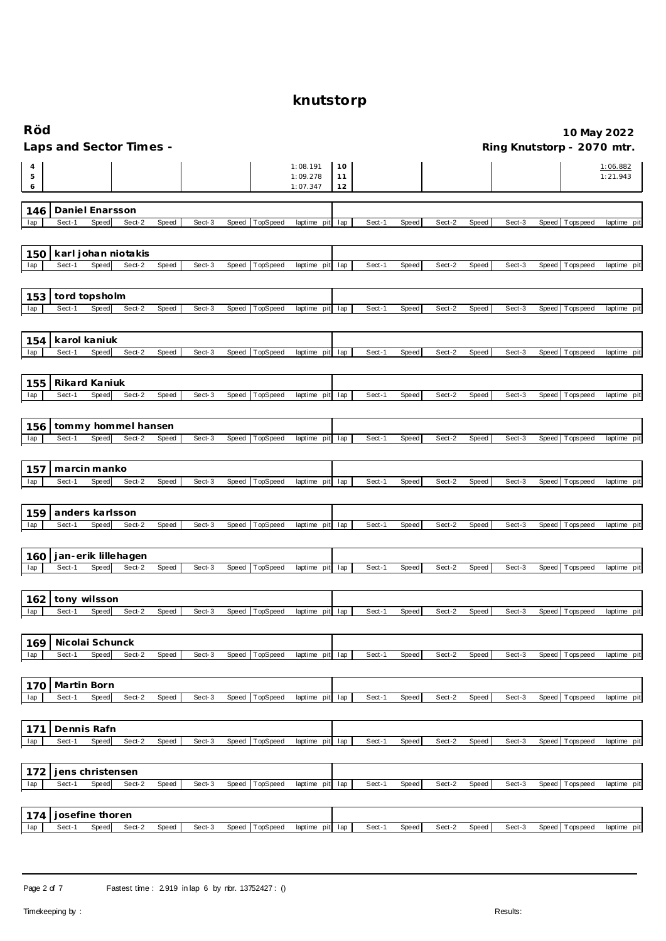| Röd         |                           |       |                         |       |        |       |          |                                  |                |        |              |        |       |        |       |                | 10 May 2022                |
|-------------|---------------------------|-------|-------------------------|-------|--------|-------|----------|----------------------------------|----------------|--------|--------------|--------|-------|--------|-------|----------------|----------------------------|
|             |                           |       | Laps and Sector Times - |       |        |       |          |                                  |                |        |              |        |       |        |       |                | Ring Knutstorp - 2070 mtr. |
| 4<br>5<br>6 |                           |       |                         |       |        |       |          | 1:08.191<br>1:09.278<br>1:07.347 | 10<br>11<br>12 |        |              |        |       |        |       |                | 1:06.882<br>1:21.943       |
| 146         | Daniel Enarsson           |       |                         |       |        |       |          |                                  |                |        |              |        |       |        |       |                |                            |
| lap         | Sect-1                    | Speed | Sect-2                  | Speed | Sect-3 | Speed | TopSpeed | laptime pit                      | lap            | Sect-1 | Speed        | Sect-2 | Speed | Sect-3 | Speed | Tops peed      | laptime pit                |
|             |                           |       |                         |       |        |       |          |                                  |                |        |              |        |       |        |       |                |                            |
| 150         |                           |       | karl johan niotakis     |       |        |       |          |                                  |                |        |              |        |       |        |       |                |                            |
| lap         | Sect-1                    | Speed | Sect-2                  | Speed | Sect-3 | Speed | TopSpeed | laptime pit                      | lap            | Sect-1 | Speed        | Sect-2 | Speed | Sect-3 | Speed | T ops pee d    | laptime pit                |
|             |                           |       |                         |       |        |       |          |                                  |                |        |              |        |       |        |       |                |                            |
| 153<br>lap  | tord topsholm<br>Sect-1   | Speed | Sect-2                  | Speed | Sect-3 | Speed | TopSpeed | laptime pit                      | lap            | Sect-1 | Speed        | Sect-2 | Speed | Sect-3 | Speed | Tops peed      | laptime pit                |
|             |                           |       |                         |       |        |       |          |                                  |                |        |              |        |       |        |       |                |                            |
| 154         | karol kaniuk              |       |                         |       |        |       |          |                                  |                |        |              |        |       |        |       |                |                            |
| lap         | Sect-1                    | Speed | Sect-2                  | Speed | Sect-3 | Speed | TopSpeed | laptime pit                      | lap            | Sect-1 | <b>Speed</b> | Sect-2 | Speed | Sect-3 | Speed | Tops peed      | laptime pit                |
|             |                           |       |                         |       |        |       |          |                                  |                |        |              |        |       |        |       |                |                            |
| 155         | Rikard Kaniuk<br>Sect-1   | Speed | Sect-2                  | Speed | Sect-3 | Speed | TopSpeed | laptime<br>pit                   |                | Sect-1 | Speed        | Sect-2 | Speed | Sect-3 | Speed |                | laptime pit                |
| lap         |                           |       |                         |       |        |       |          |                                  | lap            |        |              |        |       |        |       | T ops pee d    |                            |
| 156         |                           |       | tommy hommel hansen     |       |        |       |          |                                  |                |        |              |        |       |        |       |                |                            |
| lap         | Sect-1                    | Speed | Sect-2                  | Speed | Sect-3 | Speed | TopSpeed | laptime pit                      | lap            | Sect-1 | Speed        | Sect-2 | Speed | Sect-3 | Speed | T ops pee d    | laptime pit                |
|             |                           |       |                         |       |        |       |          |                                  |                |        |              |        |       |        |       |                |                            |
| 157         | marcin manko              |       |                         |       |        |       |          |                                  |                |        |              |        |       |        |       |                |                            |
| lap         | Sect-1                    | Speed | Sect-2                  | Speed | Sect-3 | Speed | TopSpeed | laptime pit                      | lap            | Sect-1 | Speed        | Sect-2 | Speed | Sect-3 | Speed | Tops pee d     | laptime pit                |
|             |                           |       |                         |       |        |       |          |                                  |                |        |              |        |       |        |       |                |                            |
| 159<br>lap  | anders karlsson<br>Sect-1 | Speed | Sect-2                  | Speed | Sect-3 | Speed | TopSpeed | laptime pit                      | lap            | Sect-1 | <b>Speed</b> | Sect-2 | Speed | Sect-3 |       | Speed Topspeed | laptime pit                |
|             |                           |       |                         |       |        |       |          |                                  |                |        |              |        |       |        |       |                |                            |
| 160         |                           |       | jan-erik lillehagen     |       |        |       |          |                                  |                |        |              |        |       |        |       |                |                            |
| lap         | Sect-1                    | Speed | Sect-2                  | Speed | Sect-3 | Speed | TopSpeed | laptime<br>pit                   | lap            | Sect-1 | Speed        | Sect-2 | Speed | Sect-3 | Speed | T ops pee d    | laptime pit                |
|             |                           |       |                         |       |        |       |          |                                  |                |        |              |        |       |        |       |                |                            |
| 162<br>lap  | tony wilsson<br>Sect-1    | Speed | Sect-2                  | Speed | Sect-3 | Speed | TopSpeed | laptime pit                      | lap            | Sect-1 | Speed        | Sect-2 | Speed | Sect-3 | Speed | Tops peed      | laptime pit                |
|             |                           |       |                         |       |        |       |          |                                  |                |        |              |        |       |        |       |                |                            |
| 169         | Nicolai Schunck           |       |                         |       |        |       |          |                                  |                |        |              |        |       |        |       |                |                            |
| lap         | Sect-1                    | Speed | Sect-2                  | Speed | Sect-3 | Speed | TopSpeed | laptime pit lap                  |                | Sect-1 | Speed        | Sect-2 | Speed | Sect-3 |       | Speed Topspeed | laptime pit                |
|             |                           |       |                         |       |        |       |          |                                  |                |        |              |        |       |        |       |                |                            |
| 170         | Martin Born               |       |                         |       |        |       |          |                                  |                |        |              |        |       |        |       |                |                            |
| lap         | Sect-1                    | Speed | Sect-2                  | Speed | Sect-3 | Speed | TopSpeed | laptime pit lap                  |                | Sect-1 | Speed        | Sect-2 | Speed | Sect-3 |       | Speed Topspeed | laptime pit                |
|             |                           |       |                         |       |        |       |          |                                  |                |        |              |        |       |        |       |                |                            |
| 171<br>lap  | Dennis Rafn<br>Sect-1     | Speed | Sect-2                  | Speed | Sect-3 | Speed | TopSpeed | laptime pit lap                  |                | Sect-1 | Speed        | Sect-2 | Speed | Sect-3 |       | Speed Topspeed | laptime pit                |
|             |                           |       |                         |       |        |       |          |                                  |                |        |              |        |       |        |       |                |                            |
| 172         | jens christensen          |       |                         |       |        |       |          |                                  |                |        |              |        |       |        |       |                |                            |
| lap         | Sect-1                    | Speed | Sect-2                  | Speed | Sect-3 | Speed | TopSpeed | laptime pit                      | lap            | Sect-1 | Speed        | Sect-2 | Speed | Sect-3 | Speed | Tops pee d     | laptime pit                |
|             |                           |       |                         |       |        |       |          |                                  |                |        |              |        |       |        |       |                |                            |
| 174         | josefine thoren           |       |                         |       |        |       |          |                                  |                |        |              |        |       |        |       |                |                            |
| lap         | Sect-1                    | Speed | Sect-2                  | Speed | Sect-3 | Speed | TopSpeed | laptime pit lap                  |                | Sect-1 | Speed        | Sect-2 | Speed | Sect-3 |       | Speed Topspeed | laptime pit                |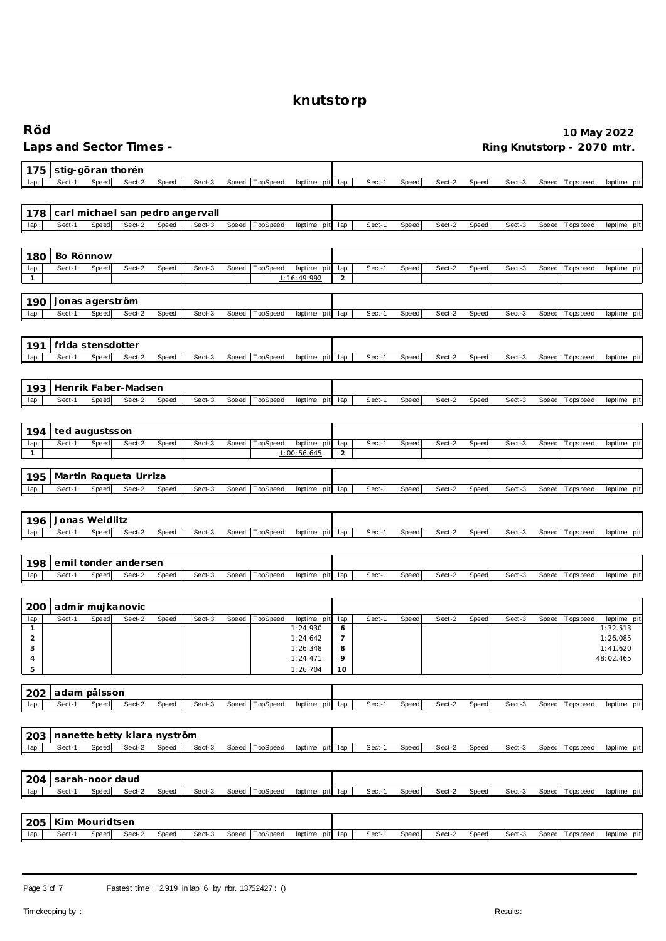| Röd                 |                             |       | Laps and Sector Times -       |       |                                  |              |          |                            |                     |        |       |        |              |        |              |                   | 10 May 2022<br>Ring Knutstorp - 2070 mtr. |
|---------------------|-----------------------------|-------|-------------------------------|-------|----------------------------------|--------------|----------|----------------------------|---------------------|--------|-------|--------|--------------|--------|--------------|-------------------|-------------------------------------------|
| 175                 | stig-göran thorén           |       |                               |       |                                  |              |          |                            |                     |        |       |        |              |        |              |                   |                                           |
| lap                 | Sect-1                      | Speed | Sect-2                        | Speed | Sect-3                           | <b>Speed</b> | TopSpeed | laptime pit                | lap                 | Sect-1 | Speed | Sect-2 | Speed        | Sect-3 | Speed        | Tops pee d        | laptime pit                               |
|                     |                             |       |                               |       |                                  |              |          |                            |                     |        |       |        |              |        |              |                   |                                           |
| 178                 |                             |       |                               |       | carl michael san pedro angervall |              |          |                            |                     |        |       |        |              |        |              |                   |                                           |
| lap                 | Sect-1                      | Speed | Sect-2                        | Speed | Sect-3                           | Speed        | TopSpeed | laptime pit                | lap                 | Sect-1 | Speed | Sect-2 | Speed        | Sect-3 | <b>Speed</b> | Tops pee d        | laptime pit                               |
|                     |                             |       |                               |       |                                  |              |          |                            |                     |        |       |        |              |        |              |                   |                                           |
| 180                 | Bo Rönnow                   |       |                               |       |                                  |              |          |                            |                     |        |       |        |              |        |              |                   |                                           |
| lap                 | Sect-1                      | Speed | Sect-2                        | Speed | Sect-3                           | Speed        | TopSpeed | laptime pit                | lap                 | Sect-1 | Speed | Sect-2 | Speed        | Sect-3 | Speed        | T ops pee d       | laptime pit                               |
| $\mathbf{1}$        |                             |       |                               |       |                                  |              |          | 1:16:49.992                | $\sqrt{2}$          |        |       |        |              |        |              |                   |                                           |
|                     |                             |       |                               |       |                                  |              |          |                            |                     |        |       |        |              |        |              |                   |                                           |
| 190<br>lap          | jonas agerström<br>Sect-1   | Speed | Sect-2                        | Speed | Sect-3                           | Speed        | TopSpeed | laptime pit                | lap                 | Sect-1 | Speed | Sect-2 | Speed        | Sect-3 |              | Speed   Tops peed | laptime pit                               |
|                     |                             |       |                               |       |                                  |              |          |                            |                     |        |       |        |              |        |              |                   |                                           |
|                     |                             |       |                               |       |                                  |              |          |                            |                     |        |       |        |              |        |              |                   |                                           |
| 191<br>lap          | frida stensdotter<br>Sect-1 | Speed | Sect-2                        | Speed | Sect-3                           | <b>Speed</b> | TopSpeed | laptime pit                | lap                 | Sect-1 | Speed | Sect-2 | Speed        | Sect-3 | Speed        | Tops peed         | laptime pit                               |
|                     |                             |       |                               |       |                                  |              |          |                            |                     |        |       |        |              |        |              |                   |                                           |
|                     |                             |       |                               |       |                                  |              |          |                            |                     |        |       |        |              |        |              |                   |                                           |
| 193                 | Sect-1                      | Speed | Henrik Faber-Madsen<br>Sect-2 | Speed | Sect-3                           |              | TopSpeed |                            |                     | Sect-1 |       | Sect-2 |              | Sect-3 |              | T ops pee d       | laptime pit                               |
| lap                 |                             |       |                               |       |                                  | <b>Speed</b> |          | laptime<br>pit             | lap                 |        | Speed |        | <b>Speed</b> |        | Speed        |                   |                                           |
|                     |                             |       |                               |       |                                  |              |          |                            |                     |        |       |        |              |        |              |                   |                                           |
| 194                 | ted augustsson              |       |                               |       |                                  |              |          |                            |                     |        |       |        |              |        |              |                   |                                           |
| lap<br>$\mathbf{1}$ | Sect-1                      | Speed | Sect-2                        | Speed | Sect-3                           | Speed        | TopSpeed | laptime pit<br>1:00:56.645 | lap<br>$\sqrt{2}$   | Sect-1 | Speed | Sect-2 | Speed        | Sect-3 | Speed        | T ops pee d       | laptime pit                               |
|                     |                             |       |                               |       |                                  |              |          |                            |                     |        |       |        |              |        |              |                   |                                           |
| 195                 |                             |       | Martin Roqueta Urriza         |       |                                  |              |          |                            |                     |        |       |        |              |        |              |                   |                                           |
| lap                 | Sect-1                      | Speed | Sect-2                        | Speed | Sect-3                           | Speed        | TopSpeed | laptime pit                | lap                 | Sect-1 | Speed | Sect-2 | Speed        | Sect-3 | Speed        | T ops pee d       | laptime pit                               |
|                     |                             |       |                               |       |                                  |              |          |                            |                     |        |       |        |              |        |              |                   |                                           |
| 196                 | Jonas Weidlitz              |       |                               |       |                                  |              |          |                            |                     |        |       |        |              |        |              |                   |                                           |
| lap                 | Sect-1                      | Speed | Sect-2                        | Speed | Sect-3                           | Speed        | TopSpeed | laptime pit                | lap                 | Sect-1 | Speed | Sect-2 | Speed        | Sect-3 | Speed        | T ops pee d       | laptime pit                               |
|                     |                             |       |                               |       |                                  |              |          |                            |                     |        |       |        |              |        |              |                   |                                           |
| 198                 |                             |       | emil tønder andersen          |       |                                  |              |          |                            |                     |        |       |        |              |        |              |                   |                                           |
| lap                 | Sect-1                      | Speed | Sect-2                        | Speed | Sect-3                           | Speed        | TopSpeed | laptime pit                | lap                 | Sect-1 | Speed | Sect-2 | Speed        | Sect-3 | Speed        | Tops pee d        | laptime pit                               |
|                     |                             |       |                               |       |                                  |              |          |                            |                     |        |       |        |              |        |              |                   |                                           |
| 200                 | admir mujkanovic            |       |                               |       |                                  |              |          |                            |                     |        |       |        |              |        |              |                   |                                           |
| lap                 | Sect-1                      | Speed | Sect-2                        | Speed | Sect-3                           | Speed        | TopSpeed | laptime pit                | lap                 | Sect-1 | Speed | Sect-2 | <b>Speed</b> | Sect-3 | Speed        | Tops pee d        | laptime pit                               |
| $\overline{2}$      |                             |       |                               |       |                                  |              |          | 1:24.930<br>1:24.642       | O<br>$\overline{7}$ |        |       |        |              |        |              |                   | 1:32.513<br>1:26.085                      |
| 3                   |                             |       |                               |       |                                  |              |          | 1:26.348                   | 8                   |        |       |        |              |        |              |                   | 1:41.620                                  |
| 4<br>$\,$ 5 $\,$    |                             |       |                               |       |                                  |              |          | 1:24.471<br>1:26.704       | 9<br>10             |        |       |        |              |        |              |                   | 48:02.465                                 |
|                     |                             |       |                               |       |                                  |              |          |                            |                     |        |       |        |              |        |              |                   |                                           |
| 202                 | adam pålsson                |       |                               |       |                                  |              |          |                            |                     |        |       |        |              |        |              |                   |                                           |
| lap                 | Sect-1                      | Speed | Sect-2                        | Speed | Sect-3                           | Speed        | TopSpeed | laptime pit                | lap                 | Sect-1 | Speed | Sect-2 | Speed        | Sect-3 | Speed        | T ops pee d       | laptime pit                               |
|                     |                             |       |                               |       |                                  |              |          |                            |                     |        |       |        |              |        |              |                   |                                           |
| 203                 |                             |       | nanette betty klara nyström   |       |                                  |              |          |                            |                     |        |       |        |              |        |              |                   |                                           |
| lap                 | Sect-1                      | Speed | Sect-2                        | Speed | Sect-3                           | Speed        | TopSpeed | laptime pit lap            |                     | Sect-1 | Speed | Sect-2 | Speed        | Sect-3 |              | Speed Topspeed    | laptime pit                               |
|                     |                             |       |                               |       |                                  |              |          |                            |                     |        |       |        |              |        |              |                   |                                           |
| 204                 | sarah-noor daud             |       |                               |       |                                  |              |          |                            |                     |        |       |        |              |        |              |                   |                                           |
| lap                 | Sect-1                      | Speed | Sect-2                        | Speed | Sect-3                           | Speed        | TopSpeed | laptime pit lap            |                     | Sect-1 | Speed | Sect-2 | Speed        | Sect-3 |              | Speed Topspeed    | laptime pit                               |
|                     |                             |       |                               |       |                                  |              |          |                            |                     |        |       |        |              |        |              |                   |                                           |
| 205                 | Kim Mouridtsen              |       |                               |       |                                  |              |          |                            |                     |        |       |        |              |        |              |                   |                                           |
| lap                 | Sect-1                      | Speed | Sect-2                        | Speed | Sect-3                           | Speed        | TopSpeed | laptime pit lap            |                     | Sect-1 | Speed | Sect-2 | Speed        | Sect-3 | Speed        | T ops pee d       | laptime pit                               |
|                     |                             |       |                               |       |                                  |              |          |                            |                     |        |       |        |              |        |              |                   |                                           |

Page 3 of 7 Fastest time : 2.919 in lap 6 by nbr. 13752427 : ()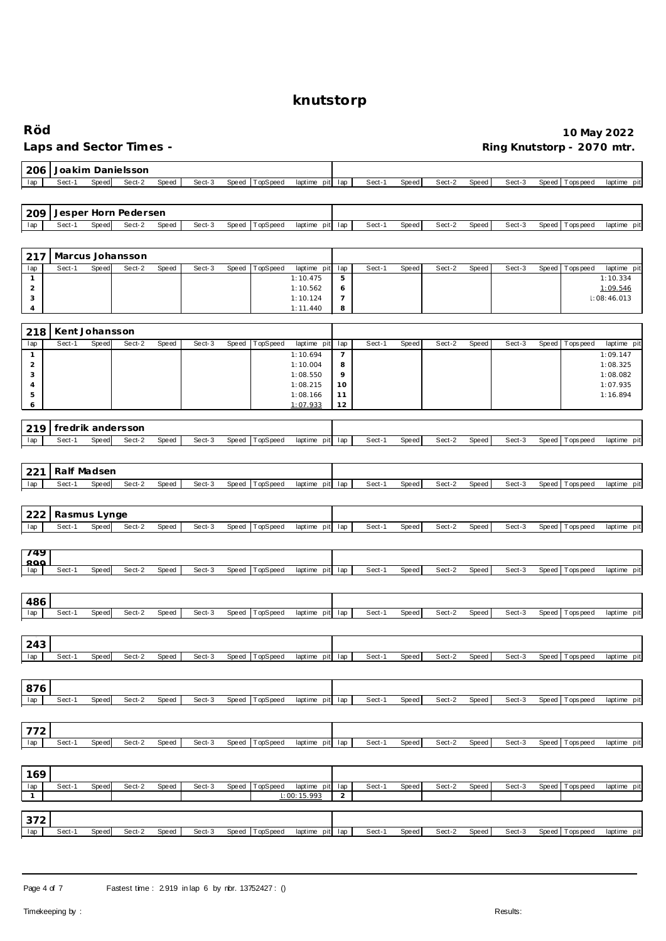| Röd                 |                   |              | Laps and Sector Times - |       |        |       |          |                             |                       |        |              |        |              |        |       | 10 May 2022<br>Ring Knutstorp - 2070 mtr. |                         |
|---------------------|-------------------|--------------|-------------------------|-------|--------|-------|----------|-----------------------------|-----------------------|--------|--------------|--------|--------------|--------|-------|-------------------------------------------|-------------------------|
| 206                 |                   |              | Joakim Danielsson       |       |        |       |          |                             |                       |        |              |        |              |        |       |                                           |                         |
| lap                 | Sect-1            | Speed        | Sect-2                  | Speed | Sect-3 | Speed | TopSpeed | laptime pit                 | lap                   | Sect-1 | Speed        | Sect-2 | Speed        | Sect-3 | Speed | <b>Tops peed</b>                          | laptime pit             |
|                     |                   |              |                         |       |        |       |          |                             |                       |        |              |        |              |        |       |                                           |                         |
| 209                 |                   |              | Jesper Horn Pedersen    |       |        |       |          |                             |                       |        |              |        |              |        |       |                                           |                         |
| lap                 | Sect-1            | Speed        | Sect-2                  | Speed | Sect-3 | Speed | TopSpeed | laptime<br>pit              | lap                   | Sect-1 | <b>Speed</b> | Sect-2 | Speed        | Sect-3 | Speed | Tops peed                                 | laptime pit             |
|                     |                   |              |                         |       |        |       |          |                             |                       |        |              |        |              |        |       |                                           |                         |
| 217                 |                   |              | Marcus Johansson        |       |        |       |          |                             |                       |        |              |        |              |        |       |                                           |                         |
| lap                 | Sect-1            | Speed        | Sect-2                  | Speed | Sect-3 | Speed | TopSpeed | laptime pit                 | lap                   | Sect-1 | Speed        | Sect-2 | <b>Speed</b> | Sect-3 | Speed | T ops pee d                               | laptime pit             |
| $\mathbf{1}$        |                   |              |                         |       |        |       |          | 1:10.475                    | $\mathbf 5$           |        |              |        |              |        |       |                                           | 1:10.334                |
| $\overline{a}$<br>3 |                   |              |                         |       |        |       |          | 1:10.562<br>1:10.124        | 6<br>$\overline{7}$   |        |              |        |              |        |       |                                           | 1:09.546<br>1:08:46.013 |
| 4                   |                   |              |                         |       |        |       |          | 1:11.440                    | 8                     |        |              |        |              |        |       |                                           |                         |
|                     |                   |              |                         |       |        |       |          |                             |                       |        |              |        |              |        |       |                                           |                         |
| 218                 | Kent Johansson    |              |                         |       |        |       |          |                             |                       |        |              |        |              |        |       |                                           |                         |
| lap<br>$\mathbf{1}$ | Sect-1            | Speed        | Sect-2                  | Speed | Sect-3 | Speed | TopSpeed | laptime pit<br>1:10.694     | lap<br>$\overline{7}$ | Sect-1 | Speed        | Sect-2 | <b>Speed</b> | Sect-3 | Speed | T ops pee d                               | laptime pit<br>1:09.147 |
| $\overline{2}$      |                   |              |                         |       |        |       |          | 1:10.004                    | 8                     |        |              |        |              |        |       |                                           | 1:08.325                |
| 3                   |                   |              |                         |       |        |       |          | 1:08.550                    | 9                     |        |              |        |              |        |       |                                           | 1:08.082                |
| 4<br>5              |                   |              |                         |       |        |       |          | 1:08.215<br>1:08.166        | 10<br>11              |        |              |        |              |        |       |                                           | 1:07.935<br>1:16.894    |
| 6                   |                   |              |                         |       |        |       |          | 1:07.933                    | 12                    |        |              |        |              |        |       |                                           |                         |
|                     |                   |              |                         |       |        |       |          |                             |                       |        |              |        |              |        |       |                                           |                         |
| 219                 | fredrik andersson |              |                         |       |        |       |          |                             |                       |        |              |        |              |        |       |                                           |                         |
| lap                 | Sect-1            | Speed        | Sect-2                  | Speed | Sect-3 | Speed | TopSpeed | laptime pit                 | lap                   | Sect-1 | Speed        | Sect-2 | Speed        | Sect-3 | Speed | Tops pee d                                | laptime pit             |
|                     |                   |              |                         |       |        |       |          |                             |                       |        |              |        |              |        |       |                                           |                         |
| 221                 | Ralf Madsen       |              |                         |       |        |       |          |                             |                       |        |              |        |              |        |       |                                           |                         |
| lap                 | Sect-1            | Speed        | Sect-2                  | Speed | Sect-3 | Speed | TopSpeed | laptime pit                 | lap                   | Sect-1 | Speed        | Sect-2 | Speed        | Sect-3 | Speed | Tops pee d                                | laptime pit             |
|                     |                   |              |                         |       |        |       |          |                             |                       |        |              |        |              |        |       |                                           |                         |
| 222                 | Rasmus Lynge      |              |                         |       |        |       |          |                             |                       |        |              |        |              |        |       |                                           |                         |
| lap                 | Sect-1            | Speed        | Sect-2                  | Speed | Sect-3 | Speed | TopSpeed | laptime<br>pit              | lap                   | Sect-1 | <b>Speed</b> | Sect-2 | <b>Speed</b> | Sect-3 | Speed | Tops peed                                 | laptime pit             |
|                     |                   |              |                         |       |        |       |          |                             |                       |        |              |        |              |        |       |                                           |                         |
| 749<br>900          |                   |              |                         |       |        |       |          |                             |                       |        |              |        |              |        |       |                                           |                         |
| lap                 | Sect-1            | Speed        | Sect-2                  | Speed | Sect-3 | Speed | TopSpeed | laptime pit                 | lap                   | Sect-1 | Speed        | Sect-2 | <b>Speed</b> | Sect-3 | Speed | T ops peed                                | laptime pit             |
|                     |                   |              |                         |       |        |       |          |                             |                       |        |              |        |              |        |       |                                           |                         |
| 486                 |                   |              |                         |       |        |       |          |                             |                       |        |              |        |              |        |       |                                           |                         |
| lap                 | Sect-1            | Speed        | Sect-2                  | Speed | Sect-3 | Speed | TopSpeed | laptime pit                 | lap                   | Sect-1 | Speed        | Sect-2 | Speed        | Sect-3 | Speed | Tops peed                                 | laptime pit             |
|                     |                   |              |                         |       |        |       |          |                             |                       |        |              |        |              |        |       |                                           |                         |
| 243                 |                   |              |                         |       |        |       |          |                             |                       |        |              |        |              |        |       |                                           |                         |
| lap                 | Sect-1            | Speed        | Sect-2                  | Speed | Sect-3 | Speed | TopSpeed | laptime pit                 | lap                   | Sect-1 | Speed        | Sect-2 | Speed        | Sect-3 |       | Speed   Tops peed                         | laptime pit             |
|                     |                   |              |                         |       |        |       |          |                             |                       |        |              |        |              |        |       |                                           |                         |
|                     |                   |              |                         |       |        |       |          |                             |                       |        |              |        |              |        |       |                                           |                         |
| 876<br>lap          | Sect-1            | Speed        | Sect-2                  | Speed | Sect-3 | Speed | TopSpeed | laptime pit                 | lap                   | Sect-1 | Speed        | Sect-2 | <b>Speed</b> | Sect-3 | Speed | Tops peed                                 | laptime pit             |
|                     |                   |              |                         |       |        |       |          |                             |                       |        |              |        |              |        |       |                                           |                         |
|                     |                   |              |                         |       |        |       |          |                             |                       |        |              |        |              |        |       |                                           |                         |
| 772                 |                   |              |                         |       |        |       |          |                             |                       |        |              |        |              |        |       |                                           |                         |
| lap                 | Sect-1            | Speed        | Sect-2                  | Speed | Sect-3 | Speed | TopSpeed | laptime pit                 | lap                   | Sect-1 | Speed        | Sect-2 | Speed        | Sect-3 | Speed | Tops pee d                                | laptime pit             |
|                     |                   |              |                         |       |        |       |          |                             |                       |        |              |        |              |        |       |                                           |                         |
| 169                 |                   |              |                         |       |        |       |          |                             |                       |        |              |        |              |        |       |                                           |                         |
| lap<br>$\mathbf{1}$ | Sect-1            | <b>Speed</b> | Sect-2                  | Speed | Sect-3 | Speed | TopSpeed | laptime pit<br>: 00: 15.993 | lap<br>$\overline{a}$ | Sect-1 | Speed        | Sect-2 | <b>Speed</b> | Sect-3 | Speed | T ops pee d                               | laptime pit             |
|                     |                   |              |                         |       |        |       |          |                             |                       |        |              |        |              |        |       |                                           |                         |
| 372                 |                   |              |                         |       |        |       |          |                             |                       |        |              |        |              |        |       |                                           |                         |
| lap                 | Sect-1            | Speed        | Sect-2                  | Speed | Sect-3 | Speed | TopSpeed | laptime pit                 | lap                   | Sect-1 | Speed        | Sect-2 | Speed        | Sect-3 | Speed | Topspeed                                  | laptime pit             |

Page 4 of 7 Fastest time : 2.919 in lap 6 by nbr. 13752427 : ()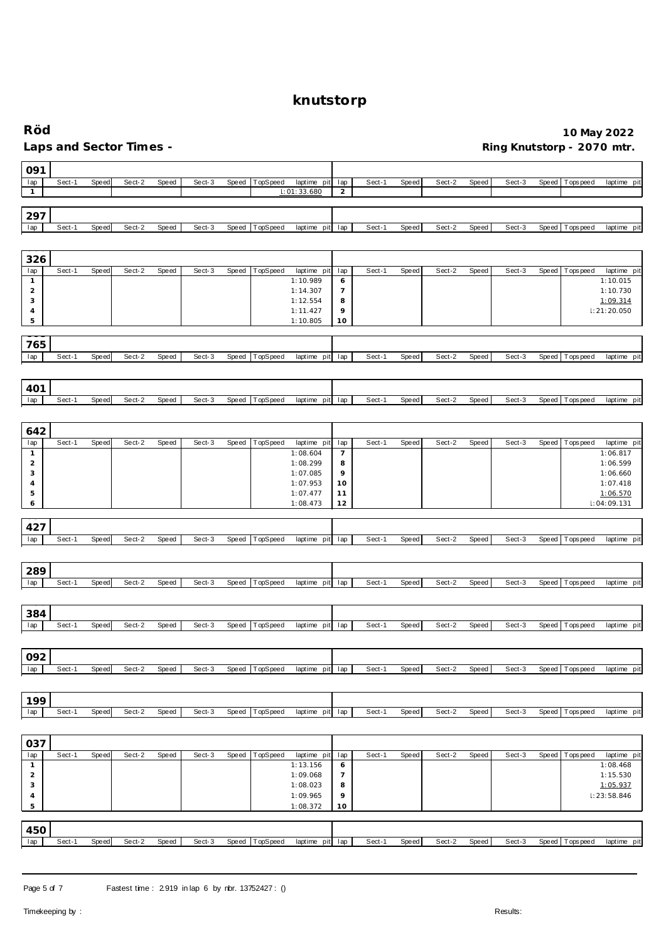| Röd                            |        |              | Laps and Sector Times - |       |        |       |                  |                            |                       |        |              |        | Ring Knutstorp - 2070 mtr. |        |       | 10 May 2022     |                         |
|--------------------------------|--------|--------------|-------------------------|-------|--------|-------|------------------|----------------------------|-----------------------|--------|--------------|--------|----------------------------|--------|-------|-----------------|-------------------------|
| 091                            |        |              |                         |       |        |       |                  |                            |                       |        |              |        |                            |        |       |                 |                         |
| lap<br>$\mathbf{1}$            | Sect-1 | <b>Speed</b> | Sect-2                  | Speed | Sect-3 | Speed | TopSpeed         | laptime pit<br>1:01:33.680 | lap<br>$\overline{c}$ | Sect-1 | Speed        | Sect-2 | Speed                      | Sect-3 | Speed | Tops peed       | laptime pit             |
|                                |        |              |                         |       |        |       |                  |                            |                       |        |              |        |                            |        |       |                 |                         |
| 297                            |        |              |                         |       |        |       |                  |                            |                       |        |              |        |                            |        |       |                 |                         |
| lap                            | Sect-1 | Speed        | Sect-2                  | Speed | Sect-3 | Speed | TopSpeed         | laptime pit                | lap                   | Sect-1 | <b>Speed</b> | Sect-2 | Speed                      | Sect-3 | Speed | Tops pee d      | laptime pit             |
|                                |        |              |                         |       |        |       |                  |                            |                       |        |              |        |                            |        |       |                 |                         |
| 326<br>lap                     | Sect-1 | Speed        | Sect-2                  | Speed | Sect-3 | Speed | TopSpeed         | laptime pit                | lap                   | Sect-1 | Speed        | Sect-2 | Speed                      | Sect-3 | Speed | Tops pee d      | laptime pit             |
| $\mathbf{1}$                   |        |              |                         |       |        |       |                  | 1:10.989                   | 6                     |        |              |        |                            |        |       |                 | 1:10.015                |
| $\overline{a}$<br>3            |        |              |                         |       |        |       |                  | 1:14.307<br>1:12.554       | $\overline{7}$<br>8   |        |              |        |                            |        |       |                 | 1:10.730<br>1:09.314    |
| 4                              |        |              |                         |       |        |       |                  | 1:11.427                   | 9                     |        |              |        |                            |        |       |                 | $\vdots$ 21:20.050      |
| 5                              |        |              |                         |       |        |       |                  | 1:10.805                   | 10                    |        |              |        |                            |        |       |                 |                         |
| 765                            |        |              |                         |       |        |       |                  |                            |                       |        |              |        |                            |        |       |                 |                         |
| lap                            | Sect-1 | Speed        | Sect-2                  | Speed | Sect-3 | Speed | TopSpeed         | laptime pit                | lap                   | Sect-1 | Speed        | Sect-2 | Speed                      | Sect-3 | Speed | Tops peed       | laptime pit             |
|                                |        |              |                         |       |        |       |                  |                            |                       |        |              |        |                            |        |       |                 |                         |
| 401                            |        |              |                         |       |        |       |                  |                            |                       |        |              |        |                            |        |       |                 |                         |
| lap                            | Sect-1 | Speed        | Sect-2                  | Speed | Sect-3 | Speed | TopSpeed         | laptime pit                | lap                   | Sect-1 | <b>Speed</b> | Sect-2 | Speed                      | Sect-3 | Speed | T ops pee d     | laptime pit             |
|                                |        |              |                         |       |        |       |                  |                            |                       |        |              |        |                            |        |       |                 |                         |
| 642<br>lap                     | Sect-1 | <b>Speed</b> | Sect-2                  | Speed | Sect-3 | Speed | TopSpeed         | laptime pit                | lap                   | Sect-1 | <b>Speed</b> | Sect-2 | Speed                      | Sect-3 | Speed | T ops pee d     | laptime pit             |
| $\mathbf{1}$                   |        |              |                         |       |        |       |                  | 1:08.604                   | $\overline{7}$        |        |              |        |                            |        |       |                 | 1:06.817                |
| $\overline{c}$<br>3            |        |              |                         |       |        |       |                  | 1:08.299<br>1:07.085       | 8<br>9                |        |              |        |                            |        |       |                 | 1:06.599<br>1:06.660    |
| $\overline{4}$                 |        |              |                         |       |        |       |                  | 1:07.953                   | 10                    |        |              |        |                            |        |       |                 | 1:07.418                |
| 5<br>6                         |        |              |                         |       |        |       |                  | 1:07.477<br>1:08.473       | 11<br>12              |        |              |        |                            |        |       |                 | 1:06.570<br>1:04:09.131 |
|                                |        |              |                         |       |        |       |                  |                            |                       |        |              |        |                            |        |       |                 |                         |
| 427<br>lap                     | Sect-1 | Speed        | Sect-2                  | Speed | Sect-3 | Speed | TopSpeed         | laptime pit                | lap                   | Sect-1 | Speed        | Sect-2 | Speed                      | Sect-3 | Speed | Tops pee d      | laptime pit             |
|                                |        |              |                         |       |        |       |                  |                            |                       |        |              |        |                            |        |       |                 |                         |
| 289                            |        |              |                         |       |        |       |                  |                            |                       |        |              |        |                            |        |       |                 |                         |
| lap                            | Sect-1 | Speed        | Sect-2                  | Speed | Sect-3 | Speed | TopSpeed         | laptime pit                | lap                   | Sect-1 | Speed        | Sect-2 | Speed                      | Sect-3 | Speed | Tops peed       | laptime pit             |
|                                |        |              |                         |       |        |       |                  |                            |                       |        |              |        |                            |        |       |                 |                         |
| 384                            |        |              |                         |       |        |       |                  |                            |                       |        |              |        |                            |        |       |                 |                         |
| lap                            | Sect-1 | Speed        | Sect-2                  | Speed | Sect-3 |       | Speed   TopSpeed | laptime pit lap            |                       | Sect-1 | Speed        | Sect-2 | Speed                      | Sect-3 |       | Speed Topspeed  | laptime pit             |
|                                |        |              |                         |       |        |       |                  |                            |                       |        |              |        |                            |        |       |                 |                         |
| 092                            | Sect-1 | Speed        | Sect-2                  | Speed | Sect-3 | Speed | TopSpeed         | laptime pit lap            |                       | Sect-1 | Speed        | Sect-2 | Speed                      | Sect-3 |       | Speed Topspeed  | laptime pit             |
| lap                            |        |              |                         |       |        |       |                  |                            |                       |        |              |        |                            |        |       |                 |                         |
| 199                            |        |              |                         |       |        |       |                  |                            |                       |        |              |        |                            |        |       |                 |                         |
| lap                            | Sect-1 | Speed        | Sect-2                  | Speed | Sect-3 | Speed | TopSpeed         | laptime pit                | lap                   | Sect-1 | <b>Speed</b> | Sect-2 | Speed                      | Sect-3 | Speed | Tops pee d      | laptime pit             |
|                                |        |              |                         |       |        |       |                  |                            |                       |        |              |        |                            |        |       |                 |                         |
| 037                            |        |              |                         |       |        |       |                  |                            |                       |        |              |        |                            |        |       |                 |                         |
| lap                            | Sect-1 | Speed        | Sect-2                  | Speed | Sect-3 | Speed | TopSpeed         | laptime pit                | lap                   | Sect-1 | Speed        | Sect-2 | Speed                      | Sect-3 | Speed | <b>Topspeed</b> | laptime pit             |
| $\mathbf{1}$<br>$\overline{c}$ |        |              |                         |       |        |       |                  | 1:13.156<br>1:09.068       | 6<br>$\overline{7}$   |        |              |        |                            |        |       |                 | 1:08.468<br>1:15.530    |
| 3                              |        |              |                         |       |        |       |                  | 1:08.023                   | 8                     |        |              |        |                            |        |       |                 | 1:05.937                |
| 4<br>5                         |        |              |                         |       |        |       |                  | 1:09.965<br>1:08.372       | 9<br>10               |        |              |        |                            |        |       |                 | 1:23:58.846             |
|                                |        |              |                         |       |        |       |                  |                            |                       |        |              |        |                            |        |       |                 |                         |
| 450<br>lap                     | Sect-1 | Speed        | Sect-2                  | Speed | Sect-3 | Speed | TopSpeed         | laptime pit lap            |                       | Sect-1 | Speed        | Sect-2 | Speed                      | Sect-3 | Speed | T ops pee d     | laptime pit             |
|                                |        |              |                         |       |        |       |                  |                            |                       |        |              |        |                            |        |       |                 |                         |

Page 5 of 7 Fastest time : 2.919 in lap 6 by nbr. 13752427 : ()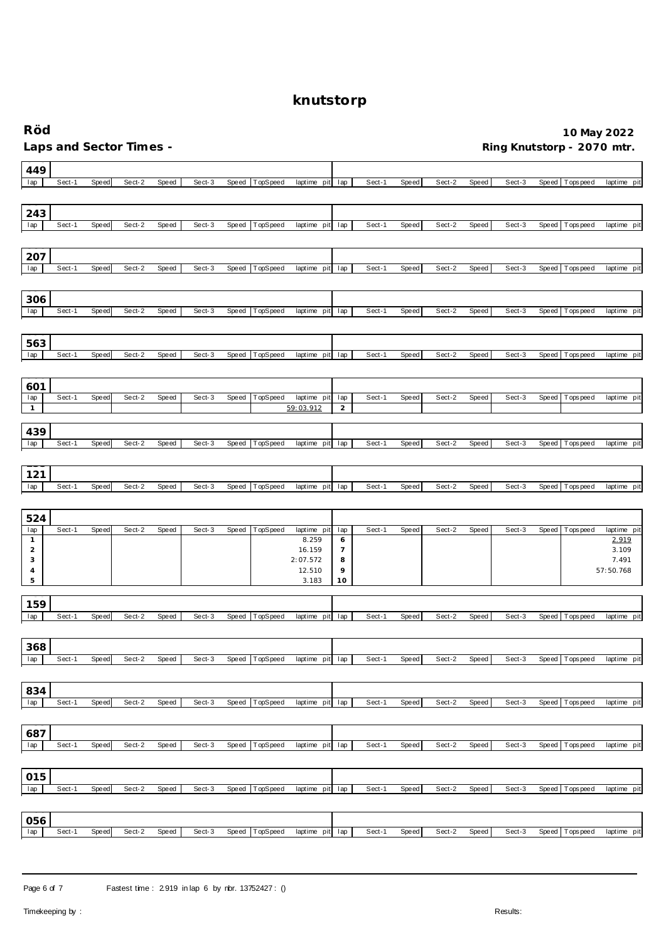| Röd                 |        |       |                         |              |        |              |          |                      |                     |        |              |        |       |        |       | 10 May 2022                |                      |
|---------------------|--------|-------|-------------------------|--------------|--------|--------------|----------|----------------------|---------------------|--------|--------------|--------|-------|--------|-------|----------------------------|----------------------|
|                     |        |       | Laps and Sector Times - |              |        |              |          |                      |                     |        |              |        |       |        |       | Ring Knutstorp - 2070 mtr. |                      |
| 449                 |        |       |                         |              |        |              |          |                      |                     |        |              |        |       |        |       |                            |                      |
| lap                 | Sect-1 | Speed | Sect-2                  | Speed        | Sect-3 | Speed        | TopSpeed | laptime pit          | lap                 | Sect-1 | <b>Speed</b> | Sect-2 | Speed | Sect-3 |       | Speed   Tops peed          | laptime pit          |
| 243                 |        |       |                         |              |        |              |          |                      |                     |        |              |        |       |        |       |                            |                      |
| lap                 | Sect-1 | Speed | Sect-2                  | Speed        | Sect-3 | Speed        | TopSpeed | laptime<br>pit       | lap                 | Sect-1 | Speed        | Sect-2 | Speed | Sect-3 | Speed | T ops pee d                | laptime<br>pit       |
|                     |        |       |                         |              |        |              |          |                      |                     |        |              |        |       |        |       |                            |                      |
| 207                 |        |       |                         |              |        |              |          |                      |                     |        |              |        |       |        |       |                            |                      |
| lap                 | Sect-1 | Speed | Sect-2                  | Speed        | Sect-3 | Speed        | TopSpeed | laptime<br>pit       | lap                 | Sect-1 | Speed        | Sect-2 | Speed | Sect-3 | Speed | Tops peed                  | laptime pit          |
| 306                 |        |       |                         |              |        |              |          |                      |                     |        |              |        |       |        |       |                            |                      |
| lap                 | Sect-1 | Speed | Sect-2                  | Speed        | Sect-3 | Speed        | TopSpeed | laptime pit          | lap                 | Sect-1 | Speed        | Sect-2 | Speed | Sect-3 | Speed | T ops peed                 | laptime pit          |
|                     |        |       |                         |              |        |              |          |                      |                     |        |              |        |       |        |       |                            |                      |
| 563                 |        |       |                         |              |        |              |          |                      |                     |        |              |        |       |        |       |                            |                      |
| lap                 | Sect-1 | Speed | Sect-2                  | Speed        | Sect-3 | Speed        | TopSpeed | laptime<br>pit       | lap                 | Sect-1 | <b>Speed</b> | Sect-2 | Speed | Sect-3 |       | Speed   Tops peed          | laptime pit          |
| 601                 |        |       |                         |              |        |              |          |                      |                     |        |              |        |       |        |       |                            |                      |
| lap                 | Sect-1 | Speed | Sect-2                  | Speed        | Sect-3 | Speed        | TopSpeed | laptime pit          | lap                 | Sect-1 | Speed        | Sect-2 | Speed | Sect-3 | Speed | Tops pee d                 | laptime pit          |
| $\mathbf{1}$        |        |       |                         |              |        |              |          | 59:03.912            | $\sqrt{2}$          |        |              |        |       |        |       |                            |                      |
| 439                 |        |       |                         |              |        |              |          |                      |                     |        |              |        |       |        |       |                            |                      |
| lap                 | Sect-1 | Speed | Sect-2                  | Speed        | Sect-3 | Speed        | TopSpeed | laptime pit          | lap                 | Sect-1 | <b>Speed</b> | Sect-2 | Speed | Sect-3 |       | Speed   Tops peed          | laptime pit          |
| 121                 |        |       |                         |              |        |              |          |                      |                     |        |              |        |       |        |       |                            |                      |
| lap                 | Sect-1 | Speed | Sect-2                  | Speed        | Sect-3 | Speed        | TopSpeed | laptime<br>pit       | lap                 | Sect-1 | Speed        | Sect-2 | Speed | Sect-3 | Speed | Tops peed                  | laptime pit          |
|                     |        |       |                         |              |        |              |          |                      |                     |        |              |        |       |        |       |                            |                      |
| 524                 |        |       |                         |              |        |              |          |                      |                     |        |              |        |       |        |       |                            |                      |
| lap<br>$\mathbf{1}$ | Sect-1 | Speed | Sect-2                  | Speed        | Sect-3 | Speed        | TopSpeed | laptime pit<br>8.259 | lap<br>6            | Sect-1 | Speed        | Sect-2 | Speed | Sect-3 | Speed | Tops peed                  | laptime pit<br>2.919 |
| $\overline{2}$<br>3 |        |       |                         |              |        |              |          | 16.159<br>2:07.572   | $\overline{7}$<br>8 |        |              |        |       |        |       |                            | 3.109<br>7.491       |
| $\overline{4}$      |        |       |                         |              |        |              |          | 12.510               | 9                   |        |              |        |       |        |       |                            | 57:50.768            |
| 5                   |        |       |                         |              |        |              |          | 3.183                | 10                  |        |              |        |       |        |       |                            |                      |
| 159                 |        |       |                         |              |        |              |          |                      |                     |        |              |        |       |        |       |                            |                      |
| lap                 | Sect-1 | Speed | Sect-2                  | <b>Speed</b> | Sect-3 | Speed        | TopSpeed | laptime<br>pit       | lap                 | Sect-1 | Speed        | Sect-2 | Speed | Sect-3 |       | Speed   Tops peed          | laptime pit          |
| 368                 |        |       |                         |              |        |              |          |                      |                     |        |              |        |       |        |       |                            |                      |
| lap                 | Sect-1 | Speed | Sect-2                  | Speed        | Sect-3 | Speed        | TopSpeed | laptime pit lap      |                     | Sect-1 | <b>Speed</b> | Sect-2 | Speed | Sect-3 |       | Speed Tops peed            | laptime pit          |
|                     |        |       |                         |              |        |              |          |                      |                     |        |              |        |       |        |       |                            |                      |
| 834                 |        |       |                         |              |        |              |          |                      |                     |        |              |        |       |        |       |                            |                      |
| lap                 | Sect-1 | Speed | Sect-2                  | Speed        | Sect-3 | Speed        | TopSpeed | laptime pit          | lap                 | Sect-1 | Speed        | Sect-2 | Speed | Sect-3 | Speed | Tops peed                  | laptime pit          |
| 687                 |        |       |                         |              |        |              |          |                      |                     |        |              |        |       |        |       |                            |                      |
| lap                 | Sect-1 | Speed | Sect-2                  | Speed        | Sect-3 | Speed        | TopSpeed | laptime pit          | lap                 | Sect-1 | Speed        | Sect-2 | Speed | Sect-3 |       | Speed Topspeed             | laptime pit          |
|                     |        |       |                         |              |        |              |          |                      |                     |        |              |        |       |        |       |                            |                      |
| 015                 |        |       |                         |              |        |              |          |                      |                     |        |              |        |       |        |       |                            |                      |
| lap                 | Sect-1 | Speed | Sect-2                  | Speed        | Sect-3 | Speed        | TopSpeed | laptime pit          | lap                 | Sect-1 | Speed        | Sect-2 | Speed | Sect-3 |       | Speed Topspeed             | laptime pit          |
| 056                 |        |       |                         |              |        |              |          |                      |                     |        |              |        |       |        |       |                            |                      |
| lap                 | Sect-1 | Speed | Sect-2                  | Speed        | Sect-3 | <b>Speed</b> | TopSpeed | laptime<br>pit       | lap                 | Sect-1 | Speed        | Sect-2 | Speed | Sect-3 |       | Speed   Tops peed          | laptime pit          |
|                     |        |       |                         |              |        |              |          |                      |                     |        |              |        |       |        |       |                            |                      |

Page 6 of 7 Fastest time : 2919 in lap 6 by nbr. 13752427 : ()